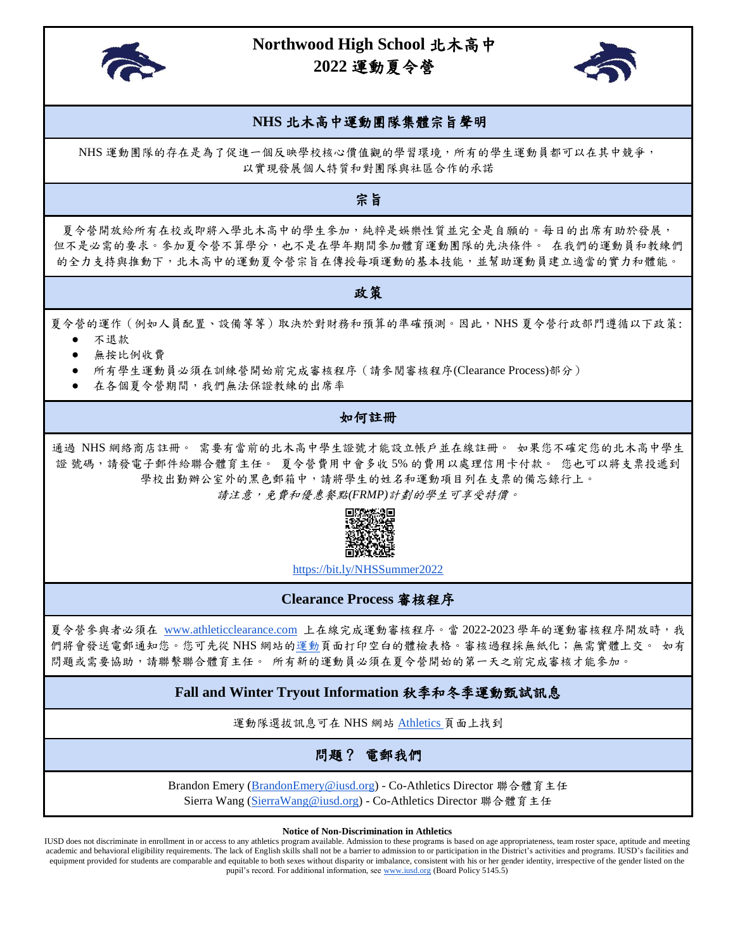

# **Northwood High School** 北木高中  **2022** 運動夏令營



### **NHS** 北木高中運動團隊集體宗旨聲明

NHS 運動團隊的存在是為了促進一個反映學校核心價值觀的學習環境,所有的學生運動員都可以在其中競爭, 以實現發展個人特質和對團隊與社區合作的承諾

# 宗旨

夏令營開放給所有在校或即將入學北木高中的學生參加,純粹是娛樂性質並完全是自願的。每日的出席有助於發展, 但不是必需的要求。參加夏令營不算學分,也不是在學年期間參加體育運動團隊的先決條件。 在我們的運動員和教練們 的全力支持與推動下,北木高中的運動夏令營宗旨在傳授每項運動的基本技能,並幫助運動員建立適當的實力和體能。

#### 政策

夏令營的運作(例如人員配置、設備等等)取決於對財務和預算的準確預測。因此,NHS 夏令營行政部門遵循以下政策:

- 不退款
- 無按比例收費
- 所有學生運動員必須在訓練營開始前完成審核程序(請參閱審核程序(Clearance Process)部分)
- 在各個夏令營期間,我們無法保證教練的出席率

# 如何註冊

通過 NHS 網絡商店註冊。 需要有當前的北木高中學生證號才能設立帳戶並在線註冊。 如果您不確定您的北木高中學生 證 號碼,請發電子郵件給聯合體育主任。 夏令營費用中會多收 5% 的費用以處理信用卡付款。 您也可以將支票投遞到 學校出勤辦公室外的黑色郵箱中,請將學生的姓名和運動項目列在支票的備忘錄行上。

請注意,免費和優惠餐點*(FRMP)*計劃的學生可享受特價。



<https://bit.ly/NHSSummer2022>

**Clearance Process** 審核程序

夏令營參與者必須在 [www.athleticclearance.com](http://www.athleticclearance.com/) 上在線完成運動審核程序。當 2022-2023 學年的運動審核程序開放時,我 們將會發送電郵通知您。您可先從 NHS 網站[的運動頁](https://northwoodhigh.iusd.org/sites/iusd.northwood.development-preview.com/files/documents/pdfs/nhs_physical_form.pdf)面打印空白的體檢表格。審核過程採無紙化;無需實體上交。 如有 問題或需要協助,請聯繫聯合體育主任。 所有新的運動員必須在夏令營開始的第一天之前完成審核才能參加。

# **Fall and Winter Tryout Information** 秋季和冬季運動甄試訊息

運動隊選拔訊息可在 NHS 網站 [Athletics](https://northwoodhigh.iusd.org/department/athletics) 頁面上找到

問題? 電郵我們

Brandon Emery [\(BrandonEmery@iusd.org\)](mailto:BrandonEmery@iusd.org) - Co-Athletics Director 聯合體育主任 Sierra Wang [\(SierraWang@iusd.org\)](mailto:SierraWang@iusd.org) - Co-Athletics Director 聯合體育主任

**Notice of Non-Discrimination in Athletics**

IUSD does not discriminate in enrollment in or access to any athletics program available. Admission to these programs is based on age appropriateness, team roster space, aptitude and meeting academic and behavioral eligibility requirements. The lack of English skills shall not be a barrier to admission to or participation in the District's activities and programs. IUSD's facilities and equipment provided for students are comparable and equitable to both sexes without disparity or imbalance, consistent with his or her gender identity, irrespective of the gender listed on the pupil's record. For additional information, se[e www.iusd.org](http://www.iusd.org/) (Board Policy 5145.5)